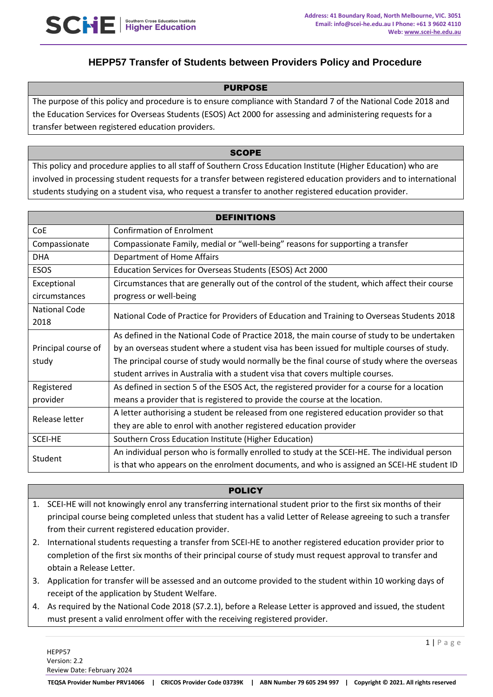

# **HEPP57 Transfer of Students between Providers Policy and Procedure**

#### PURPOSE

The purpose of this policy and procedure is to ensure compliance with Standard 7 of the National Code 2018 and the Education Services for Overseas Students (ESOS) Act 2000 for assessing and administering requests for a transfer between registered education providers.

#### **SCOPE**

This policy and procedure applies to all staff of Southern Cross Education Institute (Higher Education) who are involved in processing student requests for a transfer between registered education providers and to international students studying on a student visa, who request a transfer to another registered education provider.

| <b>DEFINITIONS</b>   |                                                                                               |
|----------------------|-----------------------------------------------------------------------------------------------|
| CoE                  | <b>Confirmation of Enrolment</b>                                                              |
| Compassionate        | Compassionate Family, medial or "well-being" reasons for supporting a transfer                |
| <b>DHA</b>           | Department of Home Affairs                                                                    |
| <b>ESOS</b>          | Education Services for Overseas Students (ESOS) Act 2000                                      |
| Exceptional          | Circumstances that are generally out of the control of the student, which affect their course |
| circumstances        | progress or well-being                                                                        |
| <b>National Code</b> | National Code of Practice for Providers of Education and Training to Overseas Students 2018   |
| 2018                 |                                                                                               |
|                      | As defined in the National Code of Practice 2018, the main course of study to be undertaken   |
| Principal course of  | by an overseas student where a student visa has been issued for multiple courses of study.    |
| study                | The principal course of study would normally be the final course of study where the overseas  |
|                      | student arrives in Australia with a student visa that covers multiple courses.                |
| Registered           | As defined in section 5 of the ESOS Act, the registered provider for a course for a location  |
| provider             | means a provider that is registered to provide the course at the location.                    |
| Release letter       | A letter authorising a student be released from one registered education provider so that     |
|                      | they are able to enrol with another registered education provider                             |
| <b>SCEI-HE</b>       | Southern Cross Education Institute (Higher Education)                                         |
| Student              | An individual person who is formally enrolled to study at the SCEI-HE. The individual person  |
|                      | is that who appears on the enrolment documents, and who is assigned an SCEI-HE student ID     |

#### **POLICY**

- 1. SCEI-HE will not knowingly enrol any transferring international student prior to the first six months of their principal course being completed unless that student has a valid Letter of Release agreeing to such a transfer from their current registered education provider.
- 2. International students requesting a transfer from SCEI-HE to another registered education provider prior to completion of the first six months of their principal course of study must request approval to transfer and obtain a Release Letter.
- 3. Application for transfer will be assessed and an outcome provided to the student within 10 working days of receipt of the application by Student Welfare.
- 4. As required by the National Code 2018 (S7.2.1), before a Release Letter is approved and issued, the student must present a valid enrolment offer with the receiving registered provider.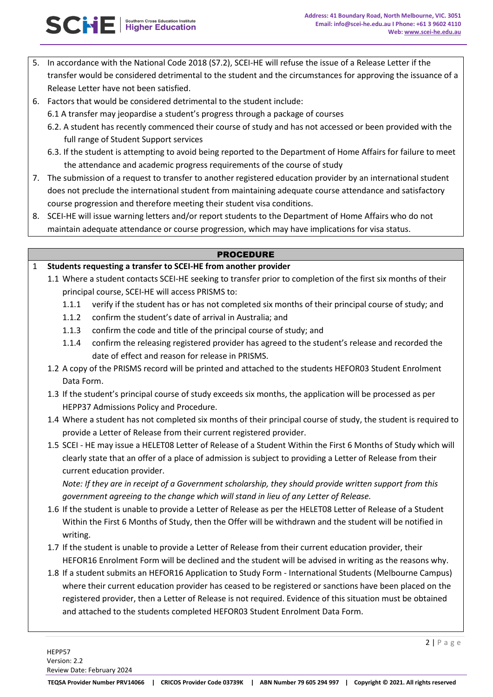- 5. In accordance with the National Code 2018 (S7.2), SCEI-HE will refuse the issue of a Release Letter if the transfer would be considered detrimental to the student and the circumstances for approving the issuance of a Release Letter have not been satisfied.
- 6. Factors that would be considered detrimental to the student include:

SCNE Higher Education

- 6.1 A transfer may jeopardise a student's progress through a package of courses
- 6.2. A student has recently commenced their course of study and has not accessed or been provided with the full range of Student Support services
- 6.3. If the student is attempting to avoid being reported to the Department of Home Affairs for failure to meet the attendance and academic progress requirements of the course of study
- 7. The submission of a request to transfer to another registered education provider by an international student does not preclude the international student from maintaining adequate course attendance and satisfactory course progression and therefore meeting their student visa conditions.
- 8. SCEI-HE will issue warning letters and/or report students to the Department of Home Affairs who do not maintain adequate attendance or course progression, which may have implications for visa status.

### PROCEDURE

## 1 **Students requesting a transfer to SCEI-HE from another provider**

- 1.1 Where a student contacts SCEI-HE seeking to transfer prior to completion of the first six months of their principal course, SCEI-HE will access PRISMS to:
	- 1.1.1 verify if the student has or has not completed six months of their principal course of study; and
	- 1.1.2 confirm the student's date of arrival in Australia; and
	- 1.1.3 confirm the code and title of the principal course of study; and
	- 1.1.4 confirm the releasing registered provider has agreed to the student's release and recorded the date of effect and reason for release in PRISMS.
- 1.2 A copy of the PRISMS record will be printed and attached to the students HEFOR03 Student Enrolment Data Form.
- 1.3 If the student's principal course of study exceeds six months, the application will be processed as per HEPP37 Admissions Policy and Procedure.
- 1.4 Where a student has not completed six months of their principal course of study, the student is required to provide a Letter of Release from their current registered provider.
- 1.5 SCEI HE may issue a HELET08 Letter of Release of a Student Within the First 6 Months of Study which will clearly state that an offer of a place of admission is subject to providing a Letter of Release from their current education provider.

*Note: If they are in receipt of a Government scholarship, they should provide written support from this government agreeing to the change which will stand in lieu of any Letter of Release.* 

- 1.6 If the student is unable to provide a Letter of Release as per the HELET08 Letter of Release of a Student Within the First 6 Months of Study, then the Offer will be withdrawn and the student will be notified in writing.
- 1.7 If the student is unable to provide a Letter of Release from their current education provider, their HEFOR16 Enrolment Form will be declined and the student will be advised in writing as the reasons why.
- 1.8 If a student submits an HEFOR16 Application to Study Form International Students (Melbourne Campus) where their current education provider has ceased to be registered or sanctions have been placed on the registered provider, then a Letter of Release is not required. Evidence of this situation must be obtained and attached to the students completed HEFOR03 Student Enrolment Data Form.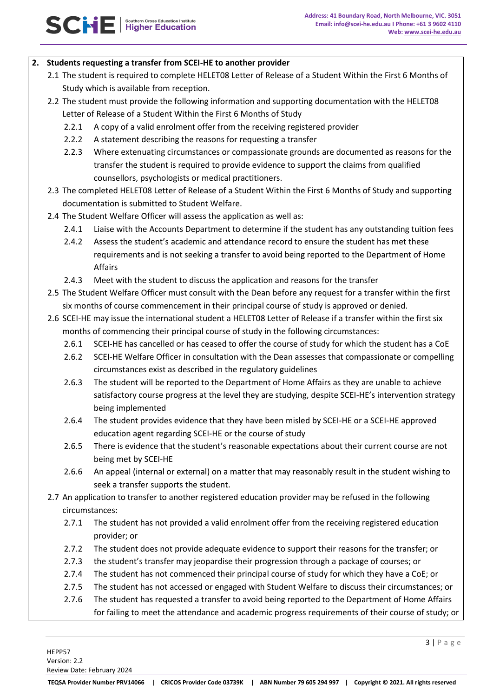### **2. Students requesting a transfer from SCEI-HE to another provider**

- 2.1 The student is required to complete HELET08 Letter of Release of a Student Within the First 6 Months of Study which is available from reception.
- 2.2 The student must provide the following information and supporting documentation with the HELET08 Letter of Release of a Student Within the First 6 Months of Study
	- 2.2.1 A copy of a valid enrolment offer from the receiving registered provider
	- 2.2.2 A statement describing the reasons for requesting a transfer
	- 2.2.3 Where extenuating circumstances or compassionate grounds are documented as reasons for the transfer the student is required to provide evidence to support the claims from qualified counsellors, psychologists or medical practitioners.
- 2.3 The completed HELET08 Letter of Release of a Student Within the First 6 Months of Study and supporting documentation is submitted to Student Welfare.
- 2.4 The Student Welfare Officer will assess the application as well as:
	- 2.4.1 Liaise with the Accounts Department to determine if the student has any outstanding tuition fees
	- 2.4.2 Assess the student's academic and attendance record to ensure the student has met these requirements and is not seeking a transfer to avoid being reported to the Department of Home Affairs
	- 2.4.3 Meet with the student to discuss the application and reasons for the transfer
- 2.5 The Student Welfare Officer must consult with the Dean before any request for a transfer within the first six months of course commencement in their principal course of study is approved or denied.
- 2.6 SCEI-HE may issue the international student a HELET08 Letter of Release if a transfer within the first six months of commencing their principal course of study in the following circumstances:
	- 2.6.1 SCEI-HE has cancelled or has ceased to offer the course of study for which the student has a CoE
	- 2.6.2 SCEI-HE Welfare Officer in consultation with the Dean assesses that compassionate or compelling circumstances exist as described in the regulatory guidelines
	- 2.6.3 The student will be reported to the Department of Home Affairs as they are unable to achieve satisfactory course progress at the level they are studying, despite SCEI-HE's intervention strategy being implemented
	- 2.6.4 The student provides evidence that they have been misled by SCEI-HE or a SCEI-HE approved education agent regarding SCEI-HE or the course of study
	- 2.6.5 There is evidence that the student's reasonable expectations about their current course are not being met by SCEI-HE
	- 2.6.6 An appeal (internal or external) on a matter that may reasonably result in the student wishing to seek a transfer supports the student.
- 2.7 An application to transfer to another registered education provider may be refused in the following circumstances:
	- 2.7.1 The student has not provided a valid enrolment offer from the receiving registered education provider; or
	- 2.7.2 The student does not provide adequate evidence to support their reasons for the transfer; or
	- 2.7.3 the student's transfer may jeopardise their progression through a package of courses; or
	- 2.7.4 The student has not commenced their principal course of study for which they have a CoE; or
	- 2.7.5 The student has not accessed or engaged with Student Welfare to discuss their circumstances; or
	- 2.7.6 The student has requested a transfer to avoid being reported to the Department of Home Affairs for failing to meet the attendance and academic progress requirements of their course of study; or

Review Date: February 2024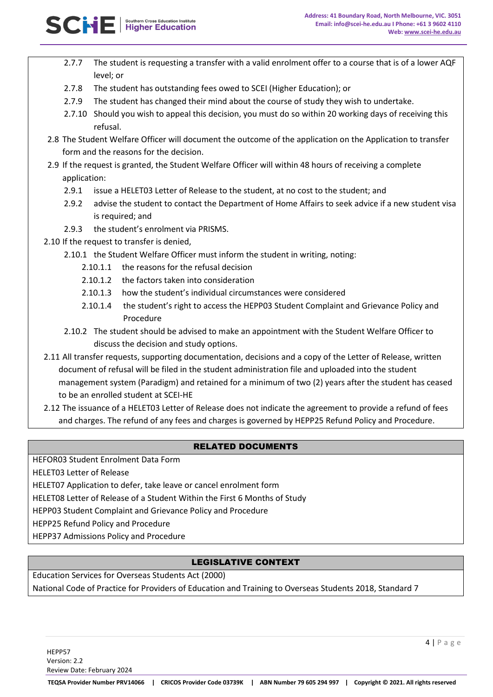- 2.7.7 The student is requesting a transfer with a valid enrolment offer to a course that is of a lower AQF level; or
- 2.7.8 The student has outstanding fees owed to SCEI (Higher Education); or
- 2.7.9 The student has changed their mind about the course of study they wish to undertake.
- 2.7.10 Should you wish to appeal this decision, you must do so within 20 working days of receiving this refusal.
- 2.8 The Student Welfare Officer will document the outcome of the application on the Application to transfer form and the reasons for the decision.
- 2.9 If the request is granted, the Student Welfare Officer will within 48 hours of receiving a complete application:
	- 2.9.1 issue a HELET03 Letter of Release to the student, at no cost to the student; and
	- 2.9.2 advise the student to contact the Department of Home Affairs to seek advice if a new student visa is required; and
	- 2.9.3 the student's enrolment via PRISMS.
- 2.10 If the request to transfer is denied,
	- 2.10.1 the Student Welfare Officer must inform the student in writing, noting:
		- 2.10.1.1 the reasons for the refusal decision
		- 2.10.1.2 the factors taken into consideration
		- 2.10.1.3 how the student's individual circumstances were considered
		- 2.10.1.4 the student's right to access the HEPP03 Student Complaint and Grievance Policy and Procedure
	- 2.10.2 The student should be advised to make an appointment with the Student Welfare Officer to discuss the decision and study options.
- 2.11 All transfer requests, supporting documentation, decisions and a copy of the Letter of Release, written document of refusal will be filed in the student administration file and uploaded into the student management system (Paradigm) and retained for a minimum of two (2) years after the student has ceased to be an enrolled student at SCEI-HE
- 2.12 The issuance of a HELET03 Letter of Release does not indicate the agreement to provide a refund of fees and charges. The refund of any fees and charges is governed by HEPP25 Refund Policy and Procedure.

## RELATED DOCUMENTS

HEFOR03 Student Enrolment Data Form

HELET03 Letter of Release

HELET07 Application to defer, take leave or cancel enrolment form

HELET08 Letter of Release of a Student Within the First 6 Months of Study

HEPP03 Student Complaint and Grievance Policy and Procedure

HEPP25 Refund Policy and Procedure

HEPP37 Admissions Policy and Procedure

## LEGISLATIVE CONTEXT

Education Services for Overseas Students Act (2000)

National Code of Practice for Providers of Education and Training to Overseas Students 2018, Standard 7

4 | P a g e